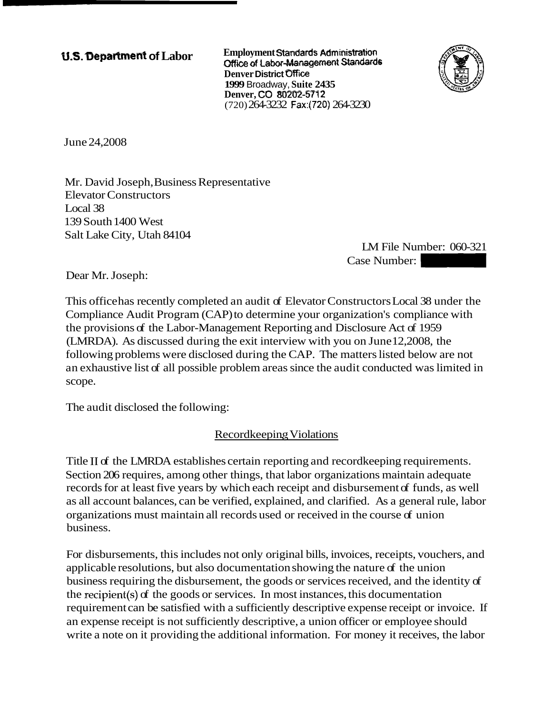**U.S. Department of Labor Employment Standards Administration** Office of Labor-Management Standards **Denver District Oflice 1999** Broadway, **Suite 2435 Denver, CO XlZ32-5772**  (720) 264-3232 Fax:(720) 264-3230



June 24,2008

Mr. David Joseph, Business Representative Elevator Constructors Local 38 139 South 1400 West Salt Lake City, Utah 84104

LM File Number: 060-321 -3230<br>
LM File Number: 060-321<br>
Case Number:<br>
structors Local 38 under the

Dear Mr. Joseph:

This office has recently completed an audit of Elevator Constructors Local 38 under the Compliance Audit Program (CAP) to determine your organization's compliance with the provisions of the Labor-Management Reporting and Disclosure Act of 1959 (LMRDA). As discussed during the exit interview with you on June 12,2008, the following problems were disclosed during the CAP. The matters listed below are not an exhaustive list of all possible problem areas since the audit conducted was limited in scope.

The audit disclosed the following:

Recordkeeping Violations

Title I1 of the LMRDA establishes certain reporting and recordkeeping requirements. Section 206 requires, among other things, that labor organizations maintain adequate records for at least five years by which each receipt and disbursement of funds, as well as all account balances, can be verified, explained, and clarified. As a general rule, labor organizations must maintain all records used or received in the course of union business.

For disbursements, this includes not only original bills, invoices, receipts, vouchers, and applicable resolutions, but also documentation showing the nature of the union business requiring the disbursement, the goods or services received, and the identity of the recipient(s) of the goods or services. In most instances, this documentation requirement can be satisfied with a sufficiently descriptive expense receipt or invoice. If an expense receipt is not sufficiently descriptive, a union officer or employee should write a note on it providing the additional information. For money it receives, the labor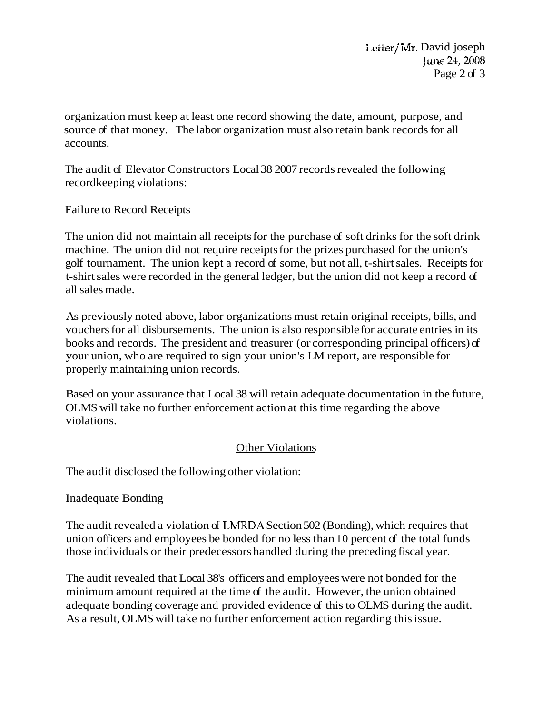organization must keep at least one record showing the date, amount, purpose, and source of that money. The labor organization must also retain bank records for all accounts.

The audit of Elevator Constructors Local 38 2007 records revealed the following recordkeeping violations:

Failure to Record Receipts

The union did not maintain all receipts for the purchase of soft drinks for the soft drink machine. The union did not require receipts for the prizes purchased for the union's golf tournament. The union kept a record of some, but not all, t-shirt sales. Receipts for t-shirt sales were recorded in the general ledger, but the union did not keep a record of all sales made.

As previously noted above, labor organizations must retain original receipts, bills, and vouchers for all disbursements. The union is also responsible for accurate entries in its books and records. The president and treasurer (or corresponding principal officers) of your union, who are required to sign your union's LM report, are responsible for properly maintaining union records.

Based on your assurance that Local 38 will retain adequate documentation in the future, OLMS will take no further enforcement action at this time regarding the above violations.

## **Other Violations**

The audit disclosed the following other violation:

## Inadequate Bonding

The audit revealed a violation of LMRDA Section 502 (Bonding), which requires that union officers and employees be bonded for no less than 10 percent of the total funds those individuals or their predecessors handled during the preceding fiscal year.

The audit revealed that Local 38's officers and employees were not bonded for the minimum amount required at the time of the audit. However, the union obtained adequate bonding coverage and provided evidence of this to OLMS during the audit. As a result, OLMS will take no further enforcement action regarding this issue.